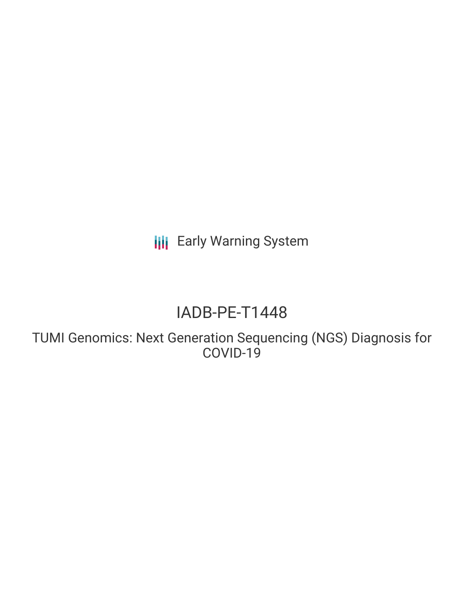**III** Early Warning System

# IADB-PE-T1448

TUMI Genomics: Next Generation Sequencing (NGS) Diagnosis for COVID-19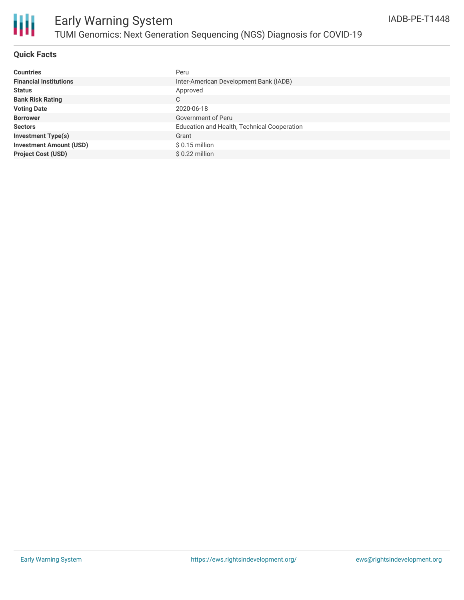

### **Quick Facts**

| <b>Countries</b>               | Peru                                        |
|--------------------------------|---------------------------------------------|
| <b>Financial Institutions</b>  | Inter-American Development Bank (IADB)      |
| <b>Status</b>                  | Approved                                    |
| <b>Bank Risk Rating</b>        | С                                           |
| <b>Voting Date</b>             | 2020-06-18                                  |
| <b>Borrower</b>                | Government of Peru                          |
| <b>Sectors</b>                 | Education and Health, Technical Cooperation |
| <b>Investment Type(s)</b>      | Grant                                       |
| <b>Investment Amount (USD)</b> | $$0.15$ million                             |
| <b>Project Cost (USD)</b>      | $$0.22$ million                             |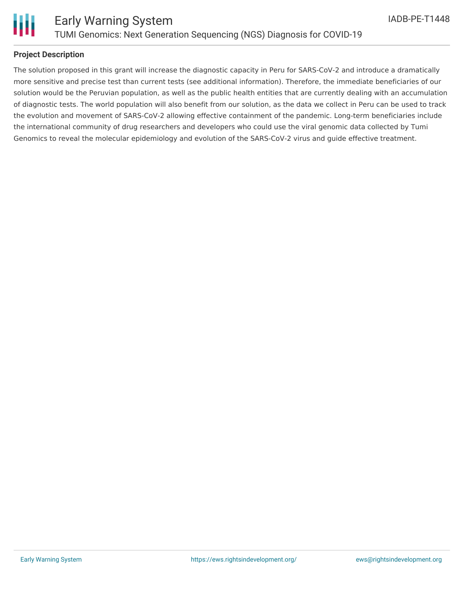

Ш

### **Project Description**

The solution proposed in this grant will increase the diagnostic capacity in Peru for SARS-CoV-2 and introduce a dramatically more sensitive and precise test than current tests (see additional information). Therefore, the immediate beneficiaries of our solution would be the Peruvian population, as well as the public health entities that are currently dealing with an accumulation of diagnostic tests. The world population will also benefit from our solution, as the data we collect in Peru can be used to track the evolution and movement of SARS-CoV-2 allowing effective containment of the pandemic. Long-term beneficiaries include the international community of drug researchers and developers who could use the viral genomic data collected by Tumi Genomics to reveal the molecular epidemiology and evolution of the SARS-CoV-2 virus and guide effective treatment.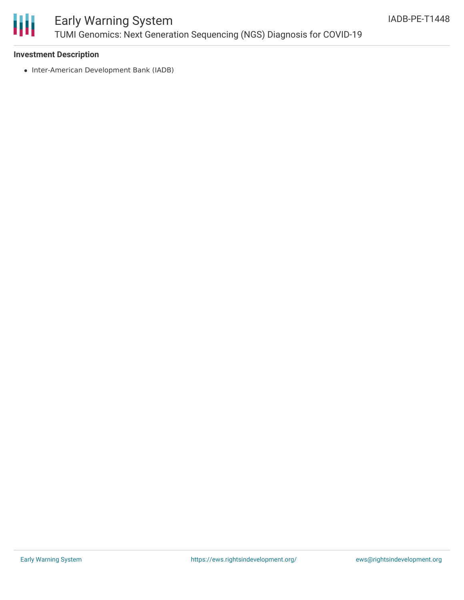

## Early Warning System TUMI Genomics: Next Generation Sequencing (NGS) Diagnosis for COVID-19

### **Investment Description**

• Inter-American Development Bank (IADB)